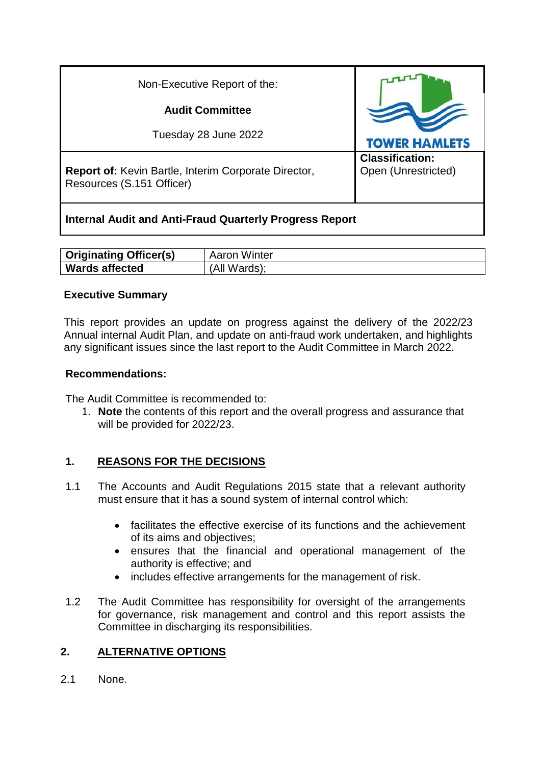| Non-Executive Report of the:                                                      |                                               |
|-----------------------------------------------------------------------------------|-----------------------------------------------|
| <b>Audit Committee</b>                                                            |                                               |
| Tuesday 28 June 2022                                                              | <b>TOWER HAMLETS</b>                          |
| Report of: Kevin Bartle, Interim Corporate Director,<br>Resources (S.151 Officer) | <b>Classification:</b><br>Open (Unrestricted) |

# **Internal Audit and Anti-Fraud Quarterly Progress Report**

| <b>Originating Officer(s)</b> | <b>Aaron Winter</b> |
|-------------------------------|---------------------|
| <b>Wards affected</b>         | (All Wards);        |

## **Executive Summary**

This report provides an update on progress against the delivery of the 2022/23 Annual internal Audit Plan, and update on anti-fraud work undertaken, and highlights any significant issues since the last report to the Audit Committee in March 2022.

## **Recommendations:**

The Audit Committee is recommended to:

1. **Note** the contents of this report and the overall progress and assurance that will be provided for 2022/23.

# **1. REASONS FOR THE DECISIONS**

- 1.1 The Accounts and Audit Regulations 2015 state that a relevant authority must ensure that it has a sound system of internal control which:
	- facilitates the effective exercise of its functions and the achievement of its aims and objectives;
	- ensures that the financial and operational management of the authority is effective; and
	- includes effective arrangements for the management of risk.
- 1.2 The Audit Committee has responsibility for oversight of the arrangements for governance, risk management and control and this report assists the Committee in discharging its responsibilities.

# **2. ALTERNATIVE OPTIONS**

2.1 None.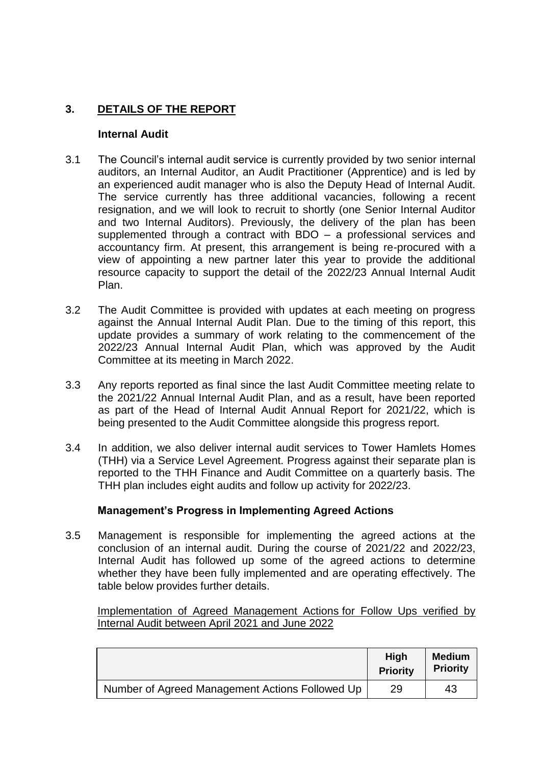# **3. DETAILS OF THE REPORT**

#### **Internal Audit**

- 3.1 The Council's internal audit service is currently provided by two senior internal auditors, an Internal Auditor, an Audit Practitioner (Apprentice) and is led by an experienced audit manager who is also the Deputy Head of Internal Audit. The service currently has three additional vacancies, following a recent resignation, and we will look to recruit to shortly (one Senior Internal Auditor and two Internal Auditors). Previously, the delivery of the plan has been supplemented through a contract with BDO – a professional services and accountancy firm. At present, this arrangement is being re-procured with a view of appointing a new partner later this year to provide the additional resource capacity to support the detail of the 2022/23 Annual Internal Audit Plan.
- 3.2 The Audit Committee is provided with updates at each meeting on progress against the Annual Internal Audit Plan. Due to the timing of this report, this update provides a summary of work relating to the commencement of the 2022/23 Annual Internal Audit Plan, which was approved by the Audit Committee at its meeting in March 2022.
- 3.3 Any reports reported as final since the last Audit Committee meeting relate to the 2021/22 Annual Internal Audit Plan, and as a result, have been reported as part of the Head of Internal Audit Annual Report for 2021/22, which is being presented to the Audit Committee alongside this progress report.
- 3.4 In addition, we also deliver internal audit services to Tower Hamlets Homes (THH) via a Service Level Agreement. Progress against their separate plan is reported to the THH Finance and Audit Committee on a quarterly basis. The THH plan includes eight audits and follow up activity for 2022/23.

### **Management's Progress in Implementing Agreed Actions**

3.5 Management is responsible for implementing the agreed actions at the conclusion of an internal audit. During the course of 2021/22 and 2022/23, Internal Audit has followed up some of the agreed actions to determine whether they have been fully implemented and are operating effectively. The table below provides further details.

Implementation of Agreed Management Actions for Follow Ups verified by Internal Audit between April 2021 and June 2022

|                                                 | <b>High</b><br><b>Priority</b> | <b>Medium</b><br><b>Priority</b> |
|-------------------------------------------------|--------------------------------|----------------------------------|
| Number of Agreed Management Actions Followed Up | 29                             | 43                               |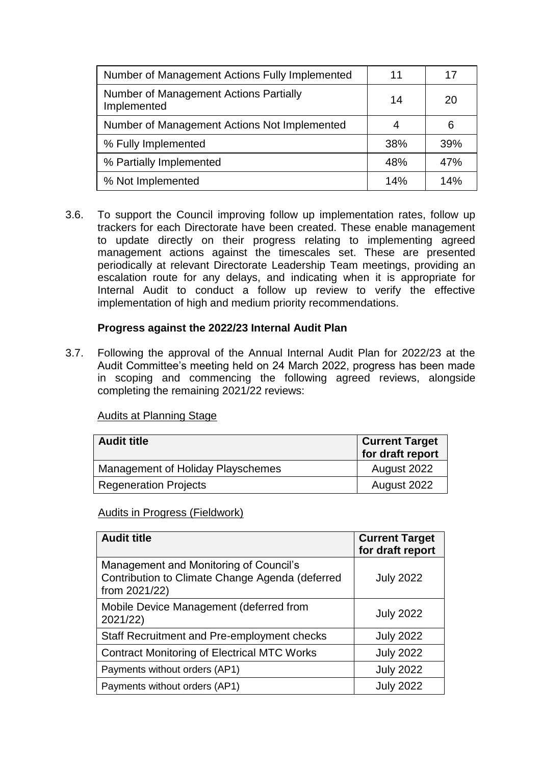| Number of Management Actions Fully Implemented        | 11  | 17  |
|-------------------------------------------------------|-----|-----|
| Number of Management Actions Partially<br>Implemented | 14  | 20  |
| Number of Management Actions Not Implemented          | 4   | 6   |
| % Fully Implemented                                   | 38% | 39% |
| % Partially Implemented                               | 48% | 47% |
| % Not Implemented                                     | 14% | 14% |

3.6. To support the Council improving follow up implementation rates, follow up trackers for each Directorate have been created. These enable management to update directly on their progress relating to implementing agreed management actions against the timescales set. These are presented periodically at relevant Directorate Leadership Team meetings, providing an escalation route for any delays, and indicating when it is appropriate for Internal Audit to conduct a follow up review to verify the effective implementation of high and medium priority recommendations.

### **Progress against the 2022/23 Internal Audit Plan**

3.7. Following the approval of the Annual Internal Audit Plan for 2022/23 at the Audit Committee's meeting held on 24 March 2022, progress has been made in scoping and commencing the following agreed reviews, alongside completing the remaining 2021/22 reviews:

| <b>Audit title</b>                | <b>Current Target</b><br>for draft report |
|-----------------------------------|-------------------------------------------|
| Management of Holiday Playschemes | August 2022                               |
| <b>Regeneration Projects</b>      | August 2022                               |

### Audits at Planning Stage

### Audits in Progress (Fieldwork)

| <b>Audit title</b>                                                                                         | <b>Current Target</b><br>for draft report |
|------------------------------------------------------------------------------------------------------------|-------------------------------------------|
| Management and Monitoring of Council's<br>Contribution to Climate Change Agenda (deferred<br>from 2021/22) | <b>July 2022</b>                          |
| Mobile Device Management (deferred from<br>2021/22)                                                        | <b>July 2022</b>                          |
| Staff Recruitment and Pre-employment checks                                                                | <b>July 2022</b>                          |
| <b>Contract Monitoring of Electrical MTC Works</b>                                                         | <b>July 2022</b>                          |
| Payments without orders (AP1)                                                                              | <b>July 2022</b>                          |
| Payments without orders (AP1)                                                                              | <b>July 2022</b>                          |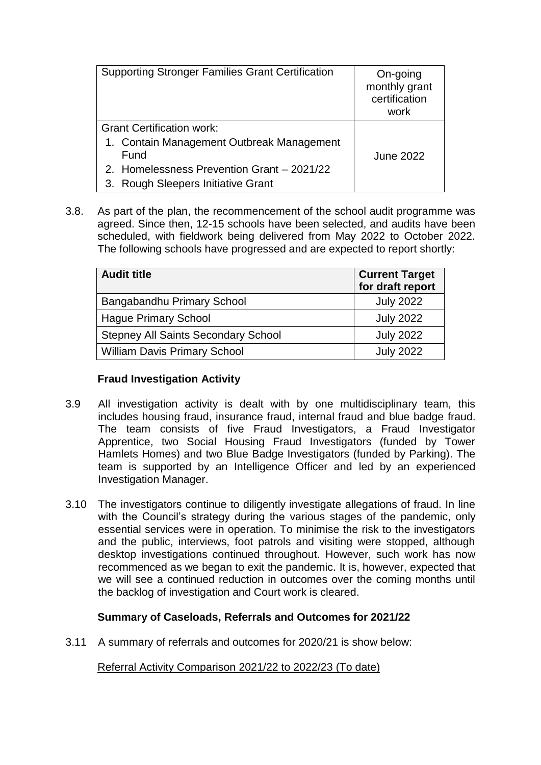| <b>Supporting Stronger Families Grant Certification</b> | On-going<br>monthly grant<br>certification<br>work |
|---------------------------------------------------------|----------------------------------------------------|
| <b>Grant Certification work:</b>                        |                                                    |
| 1. Contain Management Outbreak Management<br>Fund       | <b>June 2022</b>                                   |
| 2. Homelessness Prevention Grant - 2021/22              |                                                    |
| 3. Rough Sleepers Initiative Grant                      |                                                    |

3.8. As part of the plan, the recommencement of the school audit programme was agreed. Since then, 12-15 schools have been selected, and audits have been scheduled, with fieldwork being delivered from May 2022 to October 2022. The following schools have progressed and are expected to report shortly:

| <b>Audit title</b>                         | <b>Current Target</b><br>for draft report |
|--------------------------------------------|-------------------------------------------|
| Bangabandhu Primary School                 | <b>July 2022</b>                          |
| <b>Hague Primary School</b>                | <b>July 2022</b>                          |
| <b>Stepney All Saints Secondary School</b> | <b>July 2022</b>                          |
| <b>William Davis Primary School</b>        | <b>July 2022</b>                          |

### **Fraud Investigation Activity**

- 3.9 All investigation activity is dealt with by one multidisciplinary team, this includes housing fraud, insurance fraud, internal fraud and blue badge fraud. The team consists of five Fraud Investigators, a Fraud Investigator Apprentice, two Social Housing Fraud Investigators (funded by Tower Hamlets Homes) and two Blue Badge Investigators (funded by Parking). The team is supported by an Intelligence Officer and led by an experienced Investigation Manager.
- 3.10 The investigators continue to diligently investigate allegations of fraud. In line with the Council's strategy during the various stages of the pandemic, only essential services were in operation. To minimise the risk to the investigators and the public, interviews, foot patrols and visiting were stopped, although desktop investigations continued throughout. However, such work has now recommenced as we began to exit the pandemic. It is, however, expected that we will see a continued reduction in outcomes over the coming months until the backlog of investigation and Court work is cleared.

## **Summary of Caseloads, Referrals and Outcomes for 2021/22**

3.11 A summary of referrals and outcomes for 2020/21 is show below:

Referral Activity Comparison 2021/22 to 2022/23 (To date)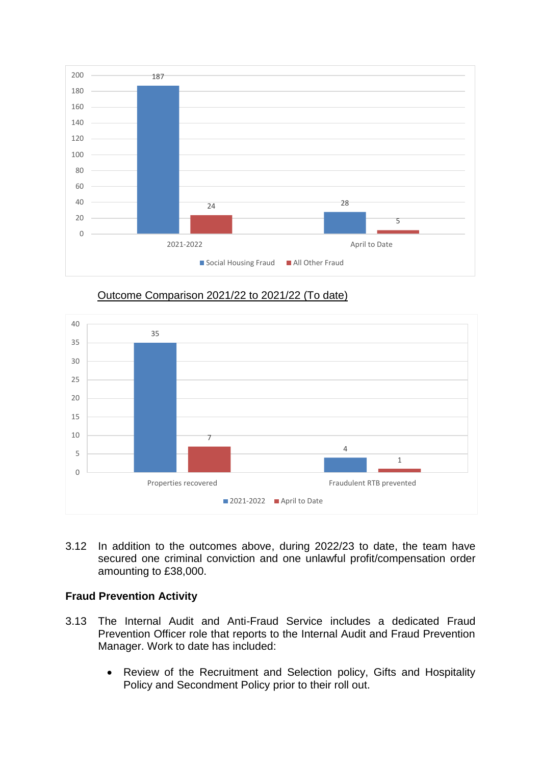





3.12 In addition to the outcomes above, during 2022/23 to date, the team have secured one criminal conviction and one unlawful profit/compensation order amounting to £38,000.

### **Fraud Prevention Activity**

- 3.13 The Internal Audit and Anti-Fraud Service includes a dedicated Fraud Prevention Officer role that reports to the Internal Audit and Fraud Prevention Manager. Work to date has included:
	- Review of the Recruitment and Selection policy, Gifts and Hospitality Policy and Secondment Policy prior to their roll out.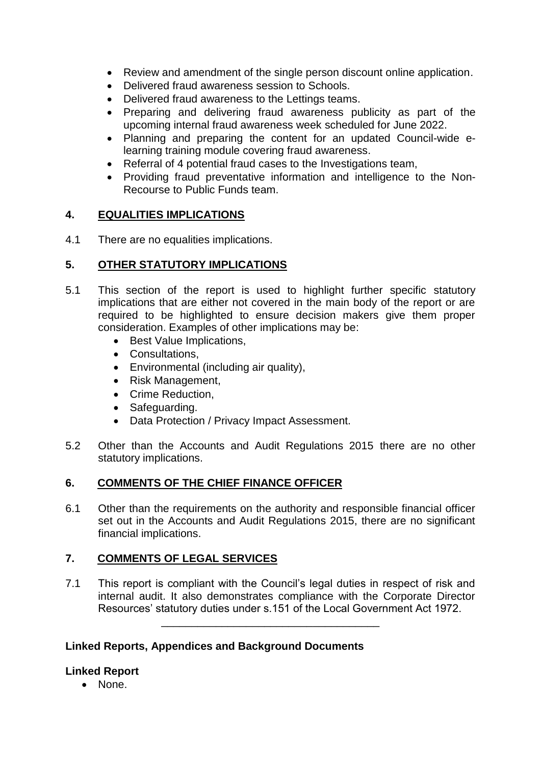- Review and amendment of the single person discount online application.
- Delivered fraud awareness session to Schools.
- Delivered fraud awareness to the Lettings teams.
- Preparing and delivering fraud awareness publicity as part of the upcoming internal fraud awareness week scheduled for June 2022.
- Planning and preparing the content for an updated Council-wide elearning training module covering fraud awareness.
- Referral of 4 potential fraud cases to the Investigations team,
- Providing fraud preventative information and intelligence to the Non-Recourse to Public Funds team.

### **4. EQUALITIES IMPLICATIONS**

4.1 There are no equalities implications.

### **5. OTHER STATUTORY IMPLICATIONS**

- 5.1 This section of the report is used to highlight further specific statutory implications that are either not covered in the main body of the report or are required to be highlighted to ensure decision makers give them proper consideration. Examples of other implications may be:
	- Best Value Implications,
	- Consultations,
	- Environmental (including air quality),
	- Risk Management.
	- Crime Reduction.
	- Safeguarding.
	- Data Protection / Privacy Impact Assessment.
- 5.2 Other than the Accounts and Audit Regulations 2015 there are no other statutory implications.

### **6. COMMENTS OF THE CHIEF FINANCE OFFICER**

6.1 Other than the requirements on the authority and responsible financial officer set out in the Accounts and Audit Regulations 2015, there are no significant financial implications.

### **7. COMMENTS OF LEGAL SERVICES**

7.1 This report is compliant with the Council's legal duties in respect of risk and internal audit. It also demonstrates compliance with the Corporate Director Resources' statutory duties under s.151 of the Local Government Act 1972.

\_\_\_\_\_\_\_\_\_\_\_\_\_\_\_\_\_\_\_\_\_\_\_\_\_\_\_\_\_\_\_\_\_\_\_\_

### **Linked Reports, Appendices and Background Documents**

### **Linked Report**

• None.